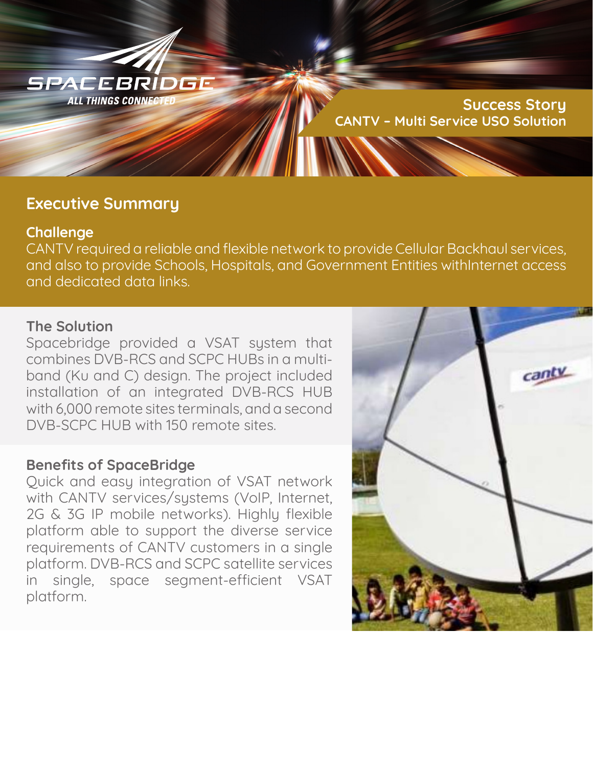

**Success Story CANTV – Multi Service USO Solution**

## **Executive Summary**

## **Challenge**

CANTV required a reliable and flexible network to provide Cellular Backhaul services, and also to provide Schools, Hospitals, and Government Entities withInternet access and dedicated data links.

## **The Solution**

Spacebridge provided a VSAT system that combines DVB-RCS and SCPC HUBs in a multiband (Ku and C) design. The project included installation of an integrated DVB-RCS HUB with 6,000 remote sites terminals, and a second DVB-SCPC HUB with 150 remote sites.

## **Benefits of SpaceBridge**

Quick and easy integration of VSAT network with CANTV services/systems (VoIP, Internet, 2G & 3G IP mobile networks). Highly flexible platform able to support the diverse service requirements of CANTV customers in a single platform. DVB-RCS and SCPC satellite services in single, space segment-efficient VSAT platform.